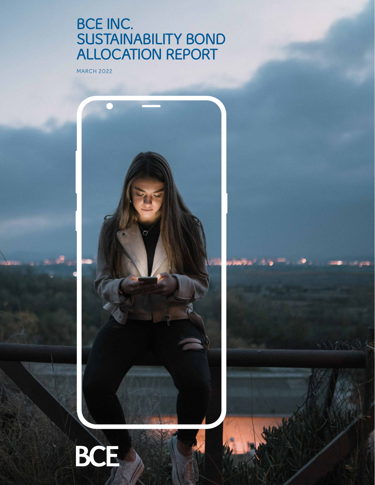# **BCE INC. SUSTAINABILITY BOND ALLOCATION REPORT**

MARCH 2022



BARTHY

Now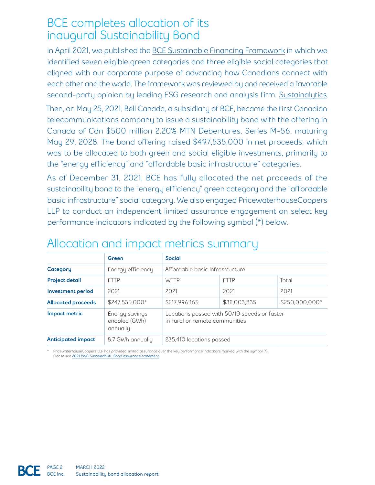### BCE completes allocation of its inaugural Sustainability Bond

In April 2021, we published the [BCE Sustainable Financing Framework](https://www.bce.ca/investors/bondholder-info/2021-bce-sustainable-financing-framework.pdf) in which we identified seven eligible green categories and three eligible social categories that aligned with our corporate purpose of advancing how Canadians connect with each other and the world. The framework was reviewed by and received a favorable second-party opinion by leading ESG research and analysis firm, [Sustainalytics.](https://www.sustainalytics.com)

Then, on May 25, 2021, Bell Canada, a subsidiary of BCE, became the first Canadian telecommunications company to issue a sustainability bond with the offering in Canada of Cdn \$500 million 2.20% MTN Debentures, Series M-56, maturing May 29, 2028. The bond offering raised \$497,535,000 in net proceeds, which was to be allocated to both green and social eligible investments, primarily to the "energy efficiency" and "affordable basic infrastructure" categories.

As of December 31, 2021, BCE has fully allocated the net proceeds of the sustainability bond to the "energy efficiency" green category and the "affordable basic infrastructure" social category. We also engaged PricewaterhouseCoopers LLP to conduct an independent limited assurance engagement on select key performance indicators indicated by the following symbol (\*) below.

|                           | Green                                       | <b>Social</b>                                                                  |              |                |
|---------------------------|---------------------------------------------|--------------------------------------------------------------------------------|--------------|----------------|
| Category                  | Energy efficiency                           | Affordable basic infrastructure                                                |              |                |
| <b>Project detail</b>     | <b>FTTP</b>                                 | <b>WTTP</b>                                                                    | <b>FTTP</b>  | Total          |
| Investment period         | 2021                                        | 2021                                                                           | 2021         | 2021           |
| <b>Allocated proceeds</b> | \$247,535,000*                              | \$217,996,165                                                                  | \$32,003,835 | \$250,000,000* |
| Impact metric             | Energy savings<br>enabled (GWh)<br>annually | Locations passed with 50/10 speeds or faster<br>in rural or remote communities |              |                |
| Anticipated impact        | 8.7 GWh annually                            | 235,410 locations passed                                                       |              |                |

# Allocation and impact metrics summary

PricewaterhouseCoopers LLP has provided limited assurance over the key performance indicators marked with the symbol (\*). Please see [2021 PWC S](https://bce.ca/responsibility/key-documents/2021-pwc-sustainable-bond-assurance-statement.pdf)ustainability Bond assurance statement.

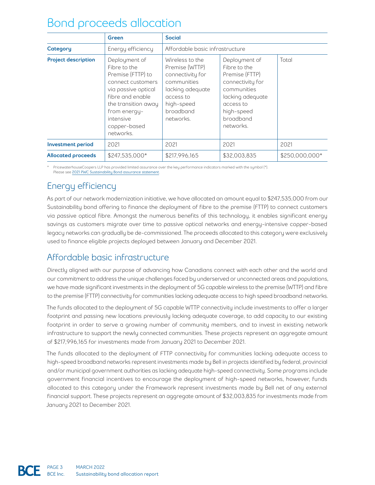## Bond proceeds allocation

|                            | Green                                                                                                                                                                                               | <b>Social</b>                                                                                                                                 |                                                                                                                                                             |                |
|----------------------------|-----------------------------------------------------------------------------------------------------------------------------------------------------------------------------------------------------|-----------------------------------------------------------------------------------------------------------------------------------------------|-------------------------------------------------------------------------------------------------------------------------------------------------------------|----------------|
| Category                   | Energy efficiency                                                                                                                                                                                   | Affordable basic infrastructure                                                                                                               |                                                                                                                                                             |                |
| <b>Project description</b> | Deployment of<br>Fibre to the<br>Premise (FTTP) to<br>connect customers<br>via passive optical<br>fibre and enable<br>the transition away<br>from energy-<br>intensive<br>copper-based<br>networks. | Wireless to the<br>Premise (WTTP)<br>connectivity for<br>communities<br>lacking adequate<br>access to<br>high-speed<br>broadband<br>networks. | Deployment of<br>Fibre to the<br>Premise (FTTP)<br>connectivity for<br>communities<br>lacking adequate<br>access to<br>high-speed<br>broadband<br>networks. | Total          |
| <b>Investment period</b>   | 2021                                                                                                                                                                                                | 2021                                                                                                                                          | 2021                                                                                                                                                        | 2021           |
| <b>Allocated proceeds</b>  | \$247.535.000*                                                                                                                                                                                      | \$217.996.165                                                                                                                                 | \$32,003,835                                                                                                                                                | \$250,000,000* |

PricewaterhouseCoopers LLP has provided limited assurance over the key performance indicators marked with the symbol (\*). Please see [2021 PWC S](https://bce.ca/responsibility/key-documents/2021-pwc-sustainable-bond-assurance-statement.pdf)ustainability Bond assurance statement.

### Energy efficiency

As part of our network modernization initiative, we have allocated an amount equal to \$247,535,000 from our Sustainability bond offering to finance the deployment of fibre to the premise (FTTP) to connect customers via passive optical fibre. Amongst the numerous benefits of this technology, it enables significant energy savings as customers migrate over time to passive optical networks and energy-intensive copper-based legacy networks can gradually be de-commissioned. The proceeds allocated to this category were exclusively used to finance eligible projects deployed between January and December 2021.

#### Affordable basic infrastructure

Directly aligned with our purpose of advancing how Canadians connect with each other and the world and our commitment to address the unique challenges faced by underserved or unconnected areas and populations, we have made significant investments in the deployment of 5G capable wireless to the premise (WTTP) and fibre to the premise (FTTP) connectivity for communities lacking adequate access to high speed broadband networks.

The funds allocated to the deployment of 5G capable WTTP connectivity include investments to offer a larger footprint and passing new locations previously lacking adequate coverage, to add capacity to our existing footprint in order to serve a growing number of community members, and to invest in existing network infrastructure to support the newly connected communities. These projects represent an aggregate amount of \$217,996,165 for investments made from January 2021 to December 2021.

The funds allocated to the deployment of FTTP connectivity for communities lacking adequate access to high-speed broadband networks represent investments made by Bell in projects identified by federal, provincial and/or municipal government authorities as lacking adequate high-speed connectivity. Some programs include government financial incentives to encourage the deployment of high-speed networks, however, funds allocated to this category under the Framework represent investments made by Bell net of any external financial support. These projects represent an aggregate amount of \$32,003,835 for investments made from January 2021 to December 2021.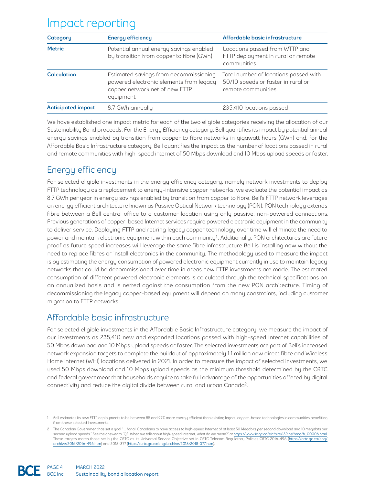### Impact reporting

| Category           | <b>Energy efficiency</b>                                                                                                         | Affordable basic infrastructure                                                                   |  |
|--------------------|----------------------------------------------------------------------------------------------------------------------------------|---------------------------------------------------------------------------------------------------|--|
| <b>Metric</b>      | Potential annual energy savings enabled<br>by transition from copper to fibre (GWh)                                              | Locations passed from WTTP and<br>FTTP deployment in rural or remote<br>communities               |  |
| <b>Calculation</b> | Estimated savings from decommissioning<br>powered electronic elements from legacy<br>copper network net of new FTTP<br>equipment | Total number of locations passed with<br>50/10 speeds or faster in rural or<br>remote communities |  |
| Anticipated impact | 8.7 GWh annually                                                                                                                 | 235,410 locations passed                                                                          |  |

We have established one impact metric for each of the two eligible categories receiving the allocation of our Sustainability Bond proceeds. For the Energy Efficiency category, Bell quantifies its impact by potential annual energy savings enabled by transition from copper to fibre networks in gigawatt hours (GWh) and, for the Affordable Basic Infrastructure category, Bell quantifies the impact as the number of locations passed in rural and remote communities with high-speed internet of 50 Mbps download and 10 Mbps upload speeds or faster.

### Energy efficiency

For selected eligible investments in the energy efficiency category, namely network investments to deploy FTTP technology as a replacement to energy-intensive copper networks, we evaluate the potential impact as 8.7 GWh per year in energy savings enabled by transition from copper to fibre. Bell's FTTP network leverages an energy efficient architecture known as Passive Optical Network technology (PON). PON technology extends fibre between a Bell central office to a customer location using only passive, non-powered connections. Previous generations of copper-based Internet services require powered electronic equipment in the community to deliver service. Deploying FTTP and retiring legacy copper technology over time will eliminate the need to power and maintain electronic equipment within each community<sup>1</sup>. Additionally, PON architectures are future proof as future speed increases will leverage the same fibre infrastructure Bell is installing now without the need to replace fibres or install electronics in the community. The methodology used to measure the impact is by estimating the energy consumption of powered electronic equipment currently in use to maintain legacy networks that could be decommissioned over time in areas new FTTP investments are made. The estimated consumption of different powered electronic elements is calculated through the technical specifications on an annualized basis and is netted against the consumption from the new PON architecture. Timing of decommissioning the legacy copper-based equipment will depend on many constraints, including customer migration to FTTP networks.

#### Affordable basic infrastructure

For selected eligible investments in the Affordable Basic Infrastructure category, we measure the impact of our investments as 235,410 new and expanded locations passed with high-speed Internet capabilities of 50 Mbps download and 10 Mbps upload speeds or faster. The selected investments are part of Bell's increased network expansion targets to complete the buildout of approximately 1.1 million new direct fibre and Wireless Home Internet (WHI) locations delivered in 2021. In order to measure the impact of selected investments, we used 50 Mbps download and 10 Mbps upload speeds as the minimum threshold determined by the CRTC and federal government that households require to take full advantage of the opportunities offered by digital connectivity and reduce the digital divide between rural and urban Canada<sup>2</sup>.

<sup>1</sup> Bell estimates its new FTTP deployments to be between 85 and 97% more energy efficient than existing legacy copper-based technologies in communities benefiting from these selected investments.

<sup>2</sup> The Canadian Government has set a goal " … for all Canadians to have access to high-speed Internet of at least 50 Megabits per second download and 10 megabits per second upload speeds." See the answer to "Q2. When we talk about high-speed Internet, what do we mean?" at [https://www.ic.gc.ca/eic/site/139.nsf/eng/h\\_00006.html.](https://www.ic.gc.ca/eic/site/139.nsf/eng/h_00006.html) These targets match those set by the CRTC as its Universal Service Objective set in CRTC Telecom Regulatory Policies CRTC 2016-496 [\(https://crtc.gc.ca/eng/](https://crtc.gc.ca/eng/archive/2016/2016-496.htm) [archive/2016/2016-496.htm](https://crtc.gc.ca/eng/archive/2016/2016-496.htm)) and 2018-377 [\(https://crtc.gc.ca/eng/archive/2018/2018-377.htm](https://crtc.gc.ca/eng/archive/2018/2018-377.htm)).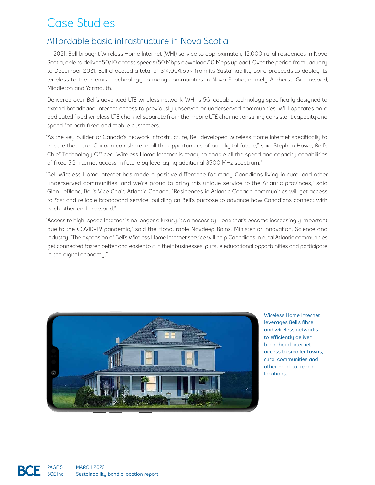# Case Studies

#### Affordable basic infrastructure in Nova Scotia

In 2021, Bell brought Wireless Home Internet (WHI) service to approximately 12,000 rural residences in Nova Scotia, able to deliver 50/10 access speeds (50 Mbps download/10 Mbps upload). Over the period from January to December 2021, Bell allocated a total of \$14,004,659 from its Sustainability bond proceeds to deploy its wireless to the premise technology to many communities in Nova Scotia, namely Amherst, Greenwood, Middleton and Yarmouth.

Delivered over Bell's advanced LTE wireless network, WHI is 5G-capable technology specifically designed to extend broadband Internet access to previously unserved or underserved communities. WHI operates on a dedicated fixed wireless LTE channel separate from the mobile LTE channel, ensuring consistent capacity and speed for both fixed and mobile customers.

"As the key builder of Canada's network infrastructure, Bell developed Wireless Home Internet specifically to ensure that rural Canada can share in all the opportunities of our digital future," said Stephen Howe, Bell's Chief Technology Officer. "Wireless Home Internet is ready to enable all the speed and capacity capabilities of fixed 5G Internet access in future by leveraging additional 3500 MHz spectrum."

"Bell Wireless Home Internet has made a positive difference for many Canadians living in rural and other underserved communities, and we're proud to bring this unique service to the Atlantic provinces," said Glen LeBlanc, Bell's Vice Chair, Atlantic Canada. "Residences in Atlantic Canada communities will get access to fast and reliable broadband service, building on Bell's purpose to advance how Canadians connect with each other and the world."

"Access to high-speed Internet is no longer a luxury, it's a necessity – one that's become increasingly important due to the COVID-19 pandemic," said the Honourable Navdeep Bains, Minister of Innovation, Science and Industry. "The expansion of Bell's Wireless Home Internet service will help Canadians in rural Atlantic communities get connected faster, better and easier to run their businesses, pursue educational opportunities and participate in the digital economy."



**Wireless Home Internet leverages Bell's fibre and wireless networks to efficiently deliver broadband Internet access to smaller towns, rural communities and other hard-to-reach locations.**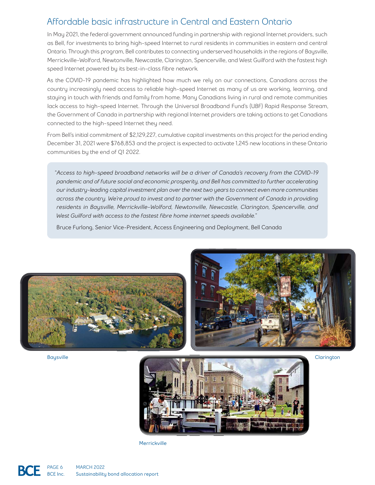#### Affordable basic infrastructure in Central and Eastern Ontario

In May 2021, the federal government announced funding in partnership with regional Internet providers, such as Bell, for investments to bring high-speed Internet to rural residents in communities in eastern and central Ontario. Through this program, Bell contributes to connecting underserved households in the regions of Baysville, Merrickville-Wolford, Newtonville, Newcastle, Clarington, Spencerville, and West Guilford with the fastest high speed Internet powered by its best-in-class fibre network.

As the COVID-19 pandemic has highlighted how much we rely on our connections, Canadians across the country increasingly need access to reliable high-speed Internet as many of us are working, learning, and staying in touch with friends and family from home. Many Canadians living in rural and remote communities lack access to high-speed Internet. Through the Universal Broadband Fund's (UBF) Rapid Response Stream, the Government of Canada in partnership with regional Internet providers are taking actions to get Canadians connected to the high-speed Internet they need.

From Bell's initial commitment of \$2,129,227, cumulative capital investments on this project for the period ending December 31, 2021 were \$768,853 and the project is expected to activate 1,245 new locations in these Ontario communities by the end of Q1 2022.

"*Access to high-speed broadband networks will be a driver of Canada's recovery from the COVID-19 pandemic and of future social and economic prosperity, and Bell has committed to further accelerating our industry-leading capital investment plan over the next two years to connect even more communities across the country. We're proud to invest and to partner with the Government of Canada in providing residents in Baysville, Merrickville-Wolford, Newtonville, Newcastle, Clarington, Spencerville, and West Guilford with access to the fastest fibre home internet speeds available.*"

Bruce Furlong, Senior Vice-President, Access Engineering and Deployment, Bell Canada



**Baysville**



**Merrickville**

**Clarington**